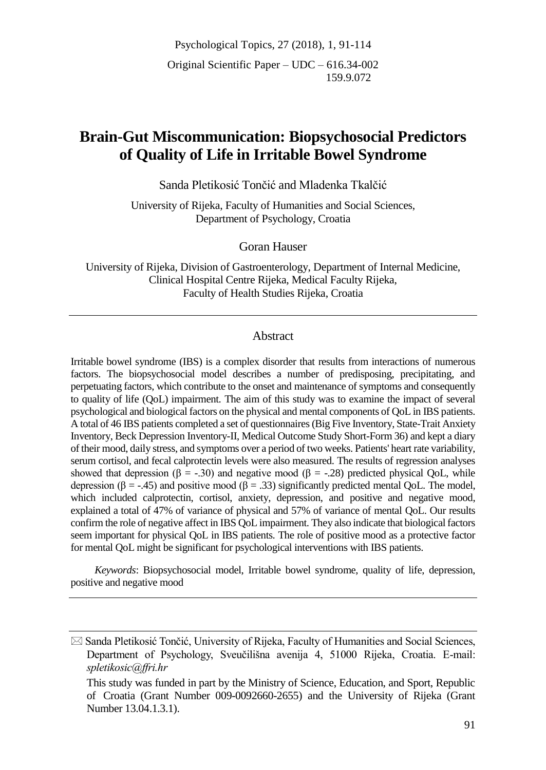Psychological Topics, 27 (2018), 1, 91-114 Original Scientific Paper – UDC – 616.34-002 159.9.072

# **Brain-Gut Miscommunication: Biopsychosocial Predictors of Quality of Life in Irritable Bowel Syndrome**

Sanda Pletikosić Tončić and Mladenka Tkalčić

University of Rijeka, Faculty of Humanities and Social Sciences, Department of Psychology, Croatia

Goran Hauser

University of Rijeka, Division of Gastroenterology, Department of Internal Medicine, Clinical Hospital Centre Rijeka, Medical Faculty Rijeka, Faculty of Health Studies Rijeka, Croatia

#### **Abstract**

Irritable bowel syndrome (IBS) is a complex disorder that results from interactions of numerous factors. The biopsychosocial model describes a number of predisposing, precipitating, and perpetuating factors, which contribute to the onset and maintenance of symptoms and consequently to quality of life (QoL) impairment. The aim of this study was to examine the impact of several psychological and biological factors on the physical and mental components of QoL in IBS patients. A total of 46 IBS patients completed a set of questionnaires (Big Five Inventory, State-Trait Anxiety Inventory, Beck Depression Inventory-II, Medical Outcome Study Short-Form 36) and kept a diary of their mood, daily stress, and symptoms over a period of two weeks. Patients' heart rate variability, serum cortisol, and fecal calprotectin levels were also measured. The results of regression analyses showed that depression ( $\beta = -0.30$ ) and negative mood ( $\beta = -0.28$ ) predicted physical QoL, while depression (β = -.45) and positive mood (β = .33) significantly predicted mental QoL. The model, which included calprotectin, cortisol, anxiety, depression, and positive and negative mood, explained a total of 47% of variance of physical and 57% of variance of mental QoL. Our results confirm the role of negative affect in IBS QoL impairment. They also indicate that biological factors seem important for physical QoL in IBS patients. The role of positive mood as a protective factor for mental QoL might be significant for psychological interventions with IBS patients.

*Keywords*: Biopsychosocial model, Irritable bowel syndrome, quality of life, depression, positive and negative mood

 $\boxtimes$  Sanda Pletikosić Tončić, University of Rijeka, Faculty of Humanities and Social Sciences, Department of Psychology, Sveučilišna avenija 4, 51000 Rijeka, Croatia. E-mail: *spletikosic@ffri.hr*

This study was funded in part by the Ministry of Science, Education, and Sport, Republic of Croatia (Grant Number 009-0092660-2655) and the University of Rijeka (Grant Number 13.04.1.3.1).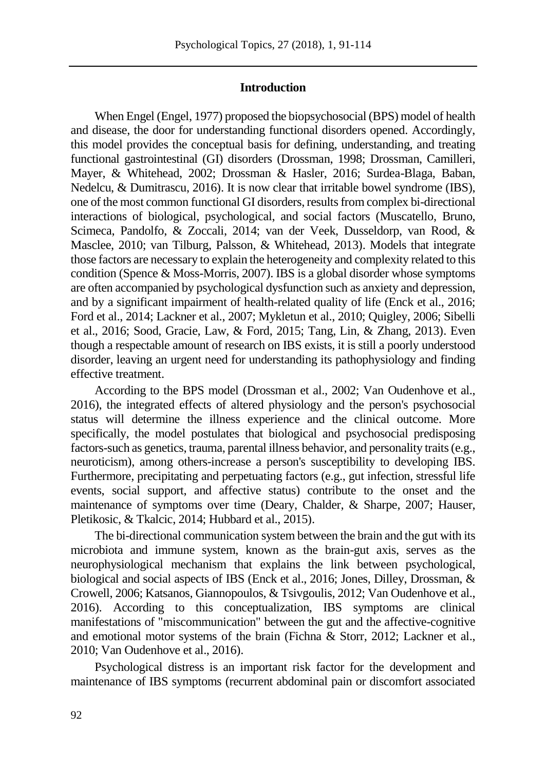# **Introduction**

When Engel (Engel, 1977) proposed the biopsychosocial (BPS) model of health and disease, the door for understanding functional disorders opened. Accordingly, this model provides the conceptual basis for defining, understanding, and treating functional gastrointestinal (GI) disorders (Drossman, 1998; Drossman, Camilleri, Mayer, & Whitehead, 2002; Drossman & Hasler, 2016; Surdea-Blaga, Baban, Nedelcu, & Dumitrascu, 2016). It is now clear that irritable bowel syndrome (IBS), one of the most common functional GI disorders, results from complex bi-directional interactions of biological, psychological, and social factors (Muscatello, Bruno, Scimeca, Pandolfo, & Zoccali, 2014; van der Veek, Dusseldorp, van Rood, & Masclee, 2010; van Tilburg, Palsson, & Whitehead, 2013). Models that integrate those factors are necessary to explain the heterogeneity and complexity related to this condition (Spence & Moss-Morris, 2007). IBS is a global disorder whose symptoms are often accompanied by psychological dysfunction such as anxiety and depression, and by a significant impairment of health-related quality of life (Enck et al., 2016; Ford et al., 2014; Lackner et al., 2007; Mykletun et al., 2010; Quigley, 2006; Sibelli et al., 2016; Sood, Gracie, Law, & Ford, 2015; Tang, Lin, & Zhang, 2013). Even though a respectable amount of research on IBS exists, it is still a poorly understood disorder, leaving an urgent need for understanding its pathophysiology and finding effective treatment.

According to the BPS model (Drossman et al., 2002; Van Oudenhove et al., 2016), the integrated effects of altered physiology and the person's psychosocial status will determine the illness experience and the clinical outcome. More specifically, the model postulates that biological and psychosocial predisposing factors-such as genetics, trauma, parental illness behavior, and personality traits (e.g., neuroticism), among others-increase a person's susceptibility to developing IBS. Furthermore, precipitating and perpetuating factors (e.g., gut infection, stressful life events, social support, and affective status) contribute to the onset and the maintenance of symptoms over time (Deary, Chalder, & Sharpe, 2007; Hauser, Pletikosic, & Tkalcic, 2014; Hubbard et al., 2015).

The bi-directional communication system between the brain and the gut with its microbiota and immune system, known as the brain-gut axis, serves as the neurophysiological mechanism that explains the link between psychological, biological and social aspects of IBS (Enck et al., 2016; Jones, Dilley, Drossman, & Crowell, 2006; Katsanos, Giannopoulos, & Tsivgoulis, 2012; Van Oudenhove et al., 2016). According to this conceptualization, IBS symptoms are clinical manifestations of "miscommunication" between the gut and the affective-cognitive and emotional motor systems of the brain (Fichna & Storr, 2012; Lackner et al., 2010; Van Oudenhove et al., 2016).

Psychological distress is an important risk factor for the development and maintenance of IBS symptoms (recurrent abdominal pain or discomfort associated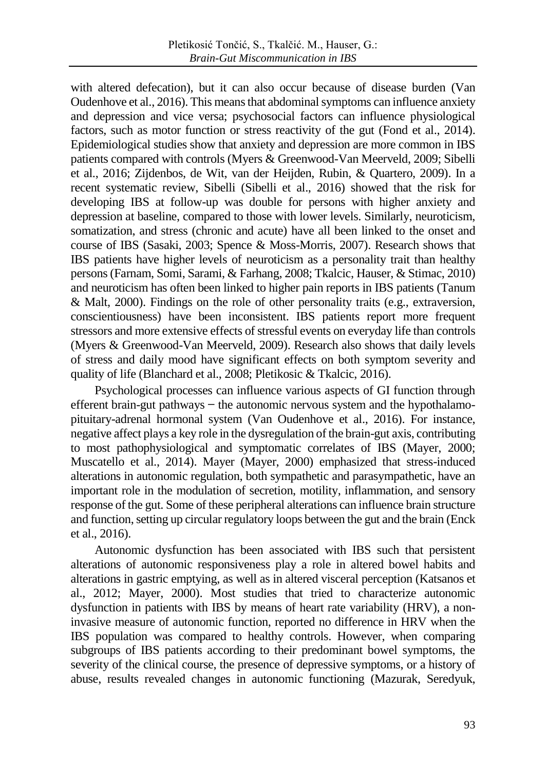with altered defecation), but it can also occur because of disease burden (Van Oudenhove et al., 2016). This means that abdominal symptoms can influence anxiety and depression and vice versa; psychosocial factors can influence physiological factors, such as motor function or stress reactivity of the gut (Fond et al., 2014). Epidemiological studies show that anxiety and depression are more common in IBS patients compared with controls (Myers & Greenwood-Van Meerveld, 2009; Sibelli et al., 2016; Zijdenbos, de Wit, van der Heijden, Rubin, & Quartero, 2009). In a recent systematic review, Sibelli (Sibelli et al., 2016) showed that the risk for developing IBS at follow-up was double for persons with higher anxiety and depression at baseline, compared to those with lower levels. Similarly, neuroticism, somatization, and stress (chronic and acute) have all been linked to the onset and course of IBS (Sasaki, 2003; Spence & Moss-Morris, 2007). Research shows that IBS patients have higher levels of neuroticism as a personality trait than healthy persons(Farnam, Somi, Sarami, & Farhang, 2008; Tkalcic, Hauser, & Stimac, 2010) and neuroticism has often been linked to higher pain reports in IBS patients (Tanum & Malt, 2000). Findings on the role of other personality traits (e.g., extraversion, conscientiousness) have been inconsistent. IBS patients report more frequent stressors and more extensive effects of stressful events on everyday life than controls (Myers & Greenwood-Van Meerveld, 2009). Research also shows that daily levels of stress and daily mood have significant effects on both symptom severity and quality of life (Blanchard et al., 2008; Pletikosic & Tkalcic, 2016).

Psychological processes can influence various aspects of GI function through efferent brain-gut pathways  $-$  the autonomic nervous system and the hypothalamopituitary-adrenal hormonal system (Van Oudenhove et al., 2016). For instance, negative affect plays a key role in the dysregulation of the brain-gut axis, contributing to most pathophysiological and symptomatic correlates of IBS (Mayer, 2000; Muscatello et al., 2014). Mayer (Mayer, 2000) emphasized that stress-induced alterations in autonomic regulation, both sympathetic and parasympathetic, have an important role in the modulation of secretion, motility, inflammation, and sensory response of the gut. Some of these peripheral alterations can influence brain structure and function, setting up circular regulatory loops between the gut and the brain (Enck et al., 2016).

Autonomic dysfunction has been associated with IBS such that persistent alterations of autonomic responsiveness play a role in altered bowel habits and alterations in gastric emptying, as well as in altered visceral perception (Katsanos et al., 2012; Mayer, 2000). Most studies that tried to characterize autonomic dysfunction in patients with IBS by means of heart rate variability (HRV), a noninvasive measure of autonomic function, reported no difference in HRV when the IBS population was compared to healthy controls. However, when comparing subgroups of IBS patients according to their predominant bowel symptoms, the severity of the clinical course, the presence of depressive symptoms, or a history of abuse, results revealed changes in autonomic functioning (Mazurak, Seredyuk,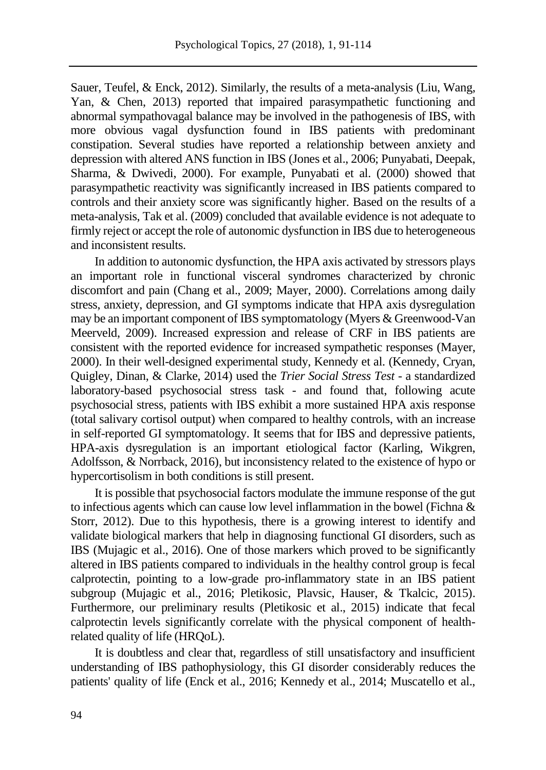Sauer, Teufel, & Enck, 2012). Similarly, the results of a meta-analysis (Liu, Wang, Yan, & Chen, 2013) reported that impaired parasympathetic functioning and abnormal sympathovagal balance may be involved in the pathogenesis of IBS, with more obvious vagal dysfunction found in IBS patients with predominant constipation. Several studies have reported a relationship between anxiety and depression with altered ANS function in IBS (Jones et al., 2006; Punyabati, Deepak, Sharma, & Dwivedi, 2000). For example, Punyabati et al. (2000) showed that parasympathetic reactivity was significantly increased in IBS patients compared to controls and their anxiety score was significantly higher. Based on the results of a meta-analysis, Tak et al. (2009) concluded that available evidence is not adequate to firmly reject or accept the role of autonomic dysfunction in IBS due to heterogeneous and inconsistent results.

In addition to autonomic dysfunction, the HPA axis activated by stressors plays an important role in functional visceral syndromes characterized by chronic discomfort and pain (Chang et al., 2009; Mayer, 2000). Correlations among daily stress, anxiety, depression, and GI symptoms indicate that HPA axis dysregulation may be an important component of IBS symptomatology (Myers & Greenwood-Van Meerveld, 2009). Increased expression and release of CRF in IBS patients are consistent with the reported evidence for increased sympathetic responses (Mayer, 2000). In their well-designed experimental study, Kennedy et al. (Kennedy, Cryan, Quigley, Dinan, & Clarke, 2014) used the *Trier Social Stress Test* - a standardized laboratory-based psychosocial stress task - and found that, following acute psychosocial stress, patients with IBS exhibit a more sustained HPA axis response (total salivary cortisol output) when compared to healthy controls, with an increase in self-reported GI symptomatology. It seems that for IBS and depressive patients, HPA-axis dysregulation is an important etiological factor (Karling, Wikgren, Adolfsson, & Norrback, 2016), but inconsistency related to the existence of hypo or hypercortisolism in both conditions is still present.

It is possible that psychosocial factors modulate the immune response of the gut to infectious agents which can cause low level inflammation in the bowel (Fichna & Storr, 2012). Due to this hypothesis, there is a growing interest to identify and validate biological markers that help in diagnosing functional GI disorders, such as IBS (Mujagic et al., 2016). One of those markers which proved to be significantly altered in IBS patients compared to individuals in the healthy control group is fecal calprotectin, pointing to a low-grade pro-inflammatory state in an IBS patient subgroup (Mujagic et al., 2016; Pletikosic, Plavsic, Hauser, & Tkalcic, 2015). Furthermore, our preliminary results (Pletikosic et al., 2015) indicate that fecal calprotectin levels significantly correlate with the physical component of healthrelated quality of life (HRQoL).

It is doubtless and clear that, regardless of still unsatisfactory and insufficient understanding of IBS pathophysiology, this GI disorder considerably reduces the patients' quality of life (Enck et al., 2016; Kennedy et al., 2014; Muscatello et al.,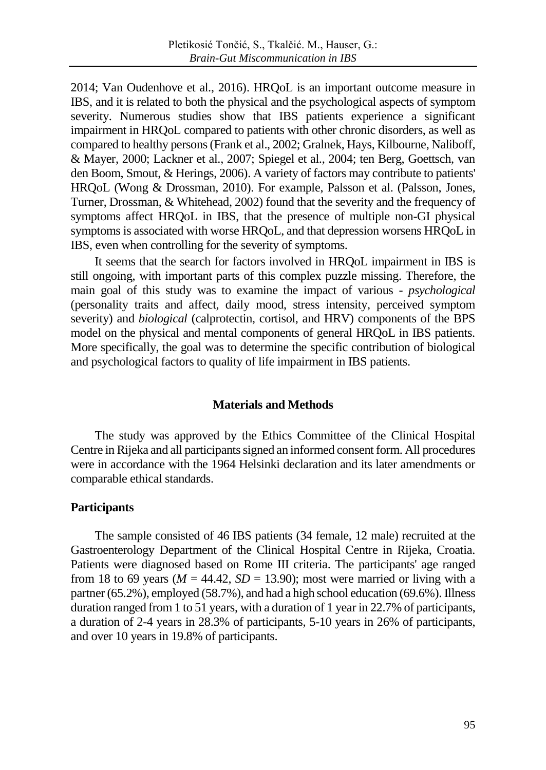2014; Van Oudenhove et al., 2016). HRQoL is an important outcome measure in IBS, and it is related to both the physical and the psychological aspects of symptom severity. Numerous studies show that IBS patients experience a significant impairment in HRQoL compared to patients with other chronic disorders, as well as compared to healthy persons(Frank et al., 2002; Gralnek, Hays, Kilbourne, Naliboff, & Mayer, 2000; Lackner et al., 2007; Spiegel et al., 2004; ten Berg, Goettsch, van den Boom, Smout, & Herings, 2006). A variety of factors may contribute to patients' HRQoL (Wong & Drossman, 2010). For example, Palsson et al. (Palsson, Jones, Turner, Drossman, & Whitehead, 2002) found that the severity and the frequency of symptoms affect HRQoL in IBS, that the presence of multiple non-GI physical symptoms is associated with worse HRQoL, and that depression worsens HRQoL in IBS, even when controlling for the severity of symptoms.

It seems that the search for factors involved in HRQoL impairment in IBS is still ongoing, with important parts of this complex puzzle missing. Therefore, the main goal of this study was to examine the impact of various - *psychological* (personality traits and affect, daily mood, stress intensity, perceived symptom severity) and *biological* (calprotectin, cortisol, and HRV) components of the BPS model on the physical and mental components of general HRQoL in IBS patients. More specifically, the goal was to determine the specific contribution of biological and psychological factors to quality of life impairment in IBS patients.

### **Materials and Methods**

The study was approved by the Ethics Committee of the Clinical Hospital Centre in Rijeka and all participants signed an informed consent form. All procedures were in accordance with the 1964 Helsinki declaration and its later amendments or comparable ethical standards.

## **Participants**

The sample consisted of 46 IBS patients (34 female, 12 male) recruited at the Gastroenterology Department of the Clinical Hospital Centre in Rijeka, Croatia. Patients were diagnosed based on Rome III criteria. The participants' age ranged from 18 to 69 years ( $M = 44.42$ ,  $SD = 13.90$ ); most were married or living with a partner (65.2%), employed (58.7%), and had a high school education (69.6%). Illness duration ranged from 1 to 51 years, with a duration of 1 year in 22.7% of participants, a duration of 2-4 years in 28.3% of participants, 5-10 years in 26% of participants, and over 10 years in 19.8% of participants.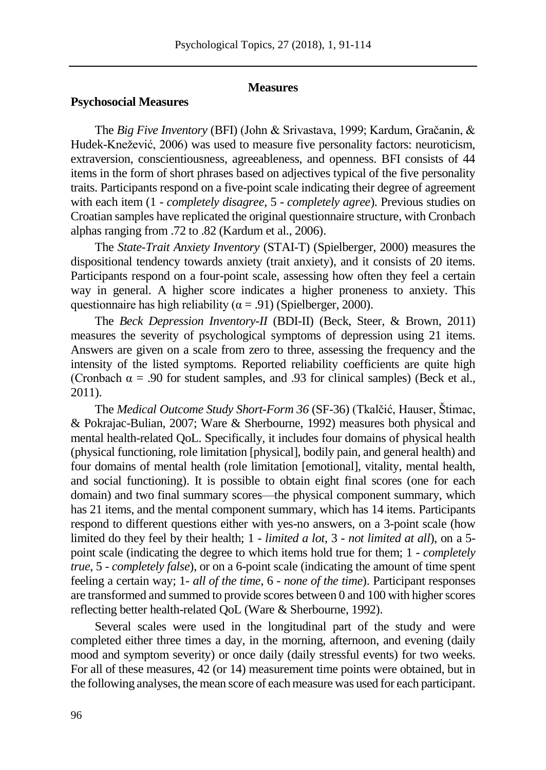#### **Measures**

#### **Psychosocial Measures**

The *Big Five Inventory* (BFI) (John & Srivastava, 1999; Kardum, Gračanin, & Hudek-Knežević, 2006) was used to measure five personality factors: neuroticism, extraversion, conscientiousness, agreeableness, and openness. BFI consists of 44 items in the form of short phrases based on adjectives typical of the five personality traits. Participants respond on a five-point scale indicating their degree of agreement with each item (1 - *completely disagree*, 5 - *completely agree*). Previous studies on Croatian samples have replicated the original questionnaire structure, with Cronbach alphas ranging from .72 to .82 (Kardum et al., 2006).

The *State-Trait Anxiety Inventory* (STAI-T) (Spielberger, 2000) measures the dispositional tendency towards anxiety (trait anxiety), and it consists of 20 items. Participants respond on a four-point scale, assessing how often they feel a certain way in general. A higher score indicates a higher proneness to anxiety. This questionnaire has high reliability ( $\alpha$  = .91) (Spielberger, 2000).

The *Beck Depression Inventory-II* (BDI-II) (Beck, Steer, & Brown, 2011) measures the severity of psychological symptoms of depression using 21 items. Answers are given on a scale from zero to three, assessing the frequency and the intensity of the listed symptoms. Reported reliability coefficients are quite high (Cronbach  $\alpha$  = .90 for student samples, and .93 for clinical samples) (Beck et al., 2011).

The *Medical Outcome Study Short-Form 36* (SF-36) (Tkalčić, Hauser, Štimac, & Pokrajac-Bulian, 2007; Ware & Sherbourne, 1992) measures both physical and mental health-related QoL. Specifically, it includes four domains of physical health (physical functioning, role limitation [physical], bodily pain, and general health) and four domains of mental health (role limitation [emotional], vitality, mental health, and social functioning). It is possible to obtain eight final scores (one for each domain) and two final summary scores—the physical component summary, which has 21 items, and the mental component summary, which has 14 items. Participants respond to different questions either with yes-no answers, on a 3-point scale (how limited do they feel by their health; 1 - *limited a lot*, 3 - *not limited at all*), on a 5 point scale (indicating the degree to which items hold true for them; 1 - *completely true*, 5 - *completely false*), or on a 6-point scale (indicating the amount of time spent feeling a certain way; 1- *all of the time*, 6 - *none of the time*). Participant responses are transformed and summed to provide scores between 0 and 100 with higher scores reflecting better health-related QoL (Ware & Sherbourne, 1992).

Several scales were used in the longitudinal part of the study and were completed either three times a day, in the morning, afternoon, and evening (daily mood and symptom severity) or once daily (daily stressful events) for two weeks. For all of these measures, 42 (or 14) measurement time points were obtained, but in the following analyses, the mean score of each measure was used for each participant.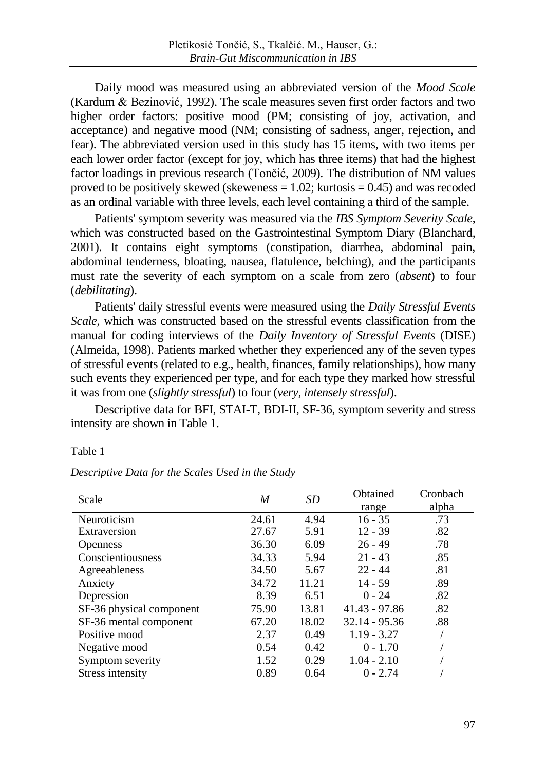Daily mood was measured using an abbreviated version of the *Mood Scale* (Kardum & Bezinović, 1992). The scale measures seven first order factors and two higher order factors: positive mood (PM; consisting of joy, activation, and acceptance) and negative mood (NM; consisting of sadness, anger, rejection, and fear). The abbreviated version used in this study has 15 items, with two items per each lower order factor (except for joy, which has three items) that had the highest factor loadings in previous research (Tončić, 2009). The distribution of NM values proved to be positively skewed (skeweness  $= 1.02$ ; kurtosis  $= 0.45$ ) and was recoded as an ordinal variable with three levels, each level containing a third of the sample.

Patients' symptom severity was measured via the *IBS Symptom Severity Scale*, which was constructed based on the Gastrointestinal Symptom Diary (Blanchard, 2001). It contains eight symptoms (constipation, diarrhea, abdominal pain, abdominal tenderness, bloating, nausea, flatulence, belching), and the participants must rate the severity of each symptom on a scale from zero (*absent*) to four (*debilitating*).

Patients' daily stressful events were measured using the *Daily Stressful Events Scale*, which was constructed based on the stressful events classification from the manual for coding interviews of the *Daily Inventory of Stressful Events* (DISE) (Almeida, 1998). Patients marked whether they experienced any of the seven types of stressful events (related to e.g., health, finances, family relationships), how many such events they experienced per type, and for each type they marked how stressful it was from one (*slightly stressful*) to four (*very, intensely stressful*).

Descriptive data for BFI, STAI-T, BDI-II, SF-36, symptom severity and stress intensity are shown in Table 1.

Table 1

| Scale                    | M     | SD    | Obtained        | Cronbach |  |
|--------------------------|-------|-------|-----------------|----------|--|
|                          |       |       | range           | alpha    |  |
| Neuroticism              | 24.61 | 4.94  | $16 - 35$       | .73      |  |
| Extraversion             | 27.67 | 5.91  | $12 - 39$       | .82      |  |
| <b>Openness</b>          | 36.30 | 6.09  | $26 - 49$       | .78      |  |
| Conscientiousness        | 34.33 | 5.94  | $21 - 43$       | .85      |  |
| Agreeableness            | 34.50 | 5.67  | $22 - 44$       | .81      |  |
| Anxiety                  | 34.72 | 11.21 | $14 - 59$       | .89      |  |
| Depression               | 8.39  | 6.51  | $0 - 24$        | .82      |  |
| SF-36 physical component | 75.90 | 13.81 | $41.43 - 97.86$ | .82      |  |
| SF-36 mental component   | 67.20 | 18.02 | $32.14 - 95.36$ | .88      |  |
| Positive mood            | 2.37  | 0.49  | $1.19 - 3.27$   |          |  |
| Negative mood            | 0.54  | 0.42  | $0 - 1.70$      |          |  |
| Symptom severity         | 1.52  | 0.29  | $1.04 - 2.10$   |          |  |
| Stress intensity         | 0.89  | 0.64  | $0 - 2.74$      |          |  |

*Descriptive Data for the Scales Used in the Study*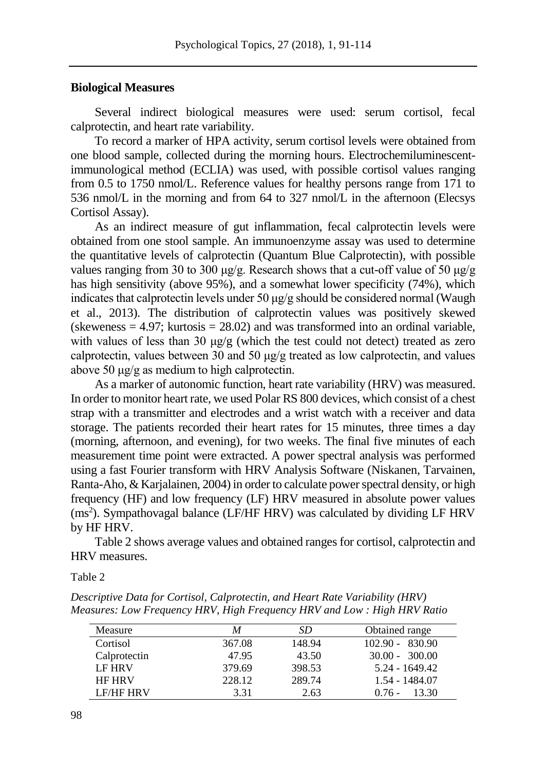#### **Biological Measures**

Several indirect biological measures were used: serum cortisol, fecal calprotectin, and heart rate variability.

To record a marker of HPA activity, serum cortisol levels were obtained from one blood sample, collected during the morning hours. Electrochemiluminescentimmunological method (ECLIA) was used, with possible cortisol values ranging from 0.5 to 1750 nmol/L. Reference values for healthy persons range from 171 to 536 nmol/L in the morning and from 64 to 327 nmol/L in the afternoon (Elecsys Cortisol Assay).

As an indirect measure of gut inflammation, fecal calprotectin levels were obtained from one stool sample. An immunoenzyme assay was used to determine the quantitative levels of calprotectin (Quantum Blue Calprotectin), with possible values ranging from 30 to 300 μg/g. Research shows that a cut-off value of 50 μg/g has high sensitivity (above 95%), and a somewhat lower specificity (74%), which indicates that calprotectin levels under 50 μg/g should be considered normal (Waugh et al., 2013). The distribution of calprotectin values was positively skewed (skeweness  $= 4.97$ ; kurtosis  $= 28.02$ ) and was transformed into an ordinal variable, with values of less than 30 μg/g (which the test could not detect) treated as zero calprotectin, values between 30 and 50 μg/g treated as low calprotectin, and values above 50 μg/g as medium to high calprotectin.

As a marker of autonomic function, heart rate variability (HRV) was measured. In order to monitor heart rate, we used Polar RS 800 devices, which consist of a chest strap with a transmitter and electrodes and a wrist watch with a receiver and data storage. The patients recorded their heart rates for 15 minutes, three times a day (morning, afternoon, and evening), for two weeks. The final five minutes of each measurement time point were extracted. A power spectral analysis was performed using a fast Fourier transform with HRV Analysis Software (Niskanen, Tarvainen, Ranta-Aho, & Karjalainen, 2004) in order to calculate power spectral density, or high frequency (HF) and low frequency (LF) HRV measured in absolute power values (ms<sup>2</sup>). Sympathovagal balance (LF/HF HRV) was calculated by dividing LF HRV by HF HRV.

Table 2 shows average values and obtained ranges for cortisol, calprotectin and HRV measures.

Table 2

*Descriptive Data for Cortisol, Calprotectin, and Heart Rate Variability (HRV) Measures: Low Frequency HRV, High Frequency HRV and Low : High HRV Ratio*

| Measure       | M      | SD     | Obtained range    |
|---------------|--------|--------|-------------------|
| Cortisol      | 367.08 | 148.94 | $102.90 - 830.90$ |
| Calprotectin  | 47.95  | 43.50  | $30.00 - 300.00$  |
| <b>LF HRV</b> | 379.69 | 398.53 | 5.24 - 1649.42    |
| <b>HF HRV</b> | 228.12 | 289.74 | 1.54 - 1484.07    |
| LE/HF HRV     | 3.31   | 2.63   | 13.30<br>$0.76 -$ |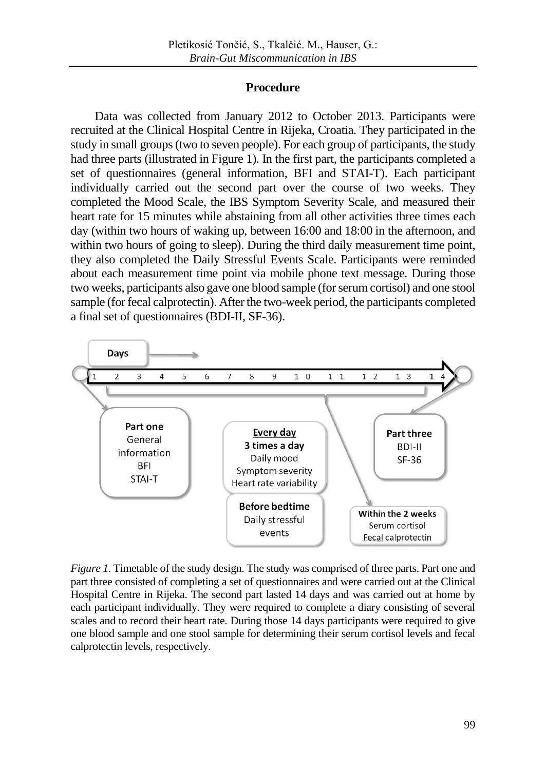# **Procedure**

Data was collected from January 2012 to October 2013. Participants were recruited at the Clinical Hospital Centre in Rijeka, Croatia. They participated in the study in small groups (two to seven people). For each group of participants, the study had three parts (illustrated in Figure 1). In the first part, the participants completed a set of questionnaires (general information, BFI and STAI-T). Each participant individually carried out the second part over the course of two weeks. They completed the Mood Scale, the IBS Symptom Severity Scale, and measured their heart rate for 15 minutes while abstaining from all other activities three times each day (within two hours of waking up, between 16:00 and 18:00 in the afternoon, and within two hours of going to sleep). During the third daily measurement time point, they also completed the Daily Stressful Events Scale. Participants were reminded about each measurement time point via mobile phone text message. During those two weeks, participants also gave one blood sample (for serum cortisol) and one stool sample (for fecal calprotectin). After the two-week period, the participants completed a final set of questionnaires (BDI-II, SF-36).



*Figure 1.* Timetable of the study design. The study was comprised of three parts. Part one and part three consisted of completing a set of questionnaires and were carried out at the Clinical Hospital Centre in Rijeka. The second part lasted 14 days and was carried out at home by each participant individually. They were required to complete a diary consisting of several scales and to record their heart rate. During those 14 days participants were required to give one blood sample and one stool sample for determining their serum cortisol levels and fecal calprotectin levels, respectively.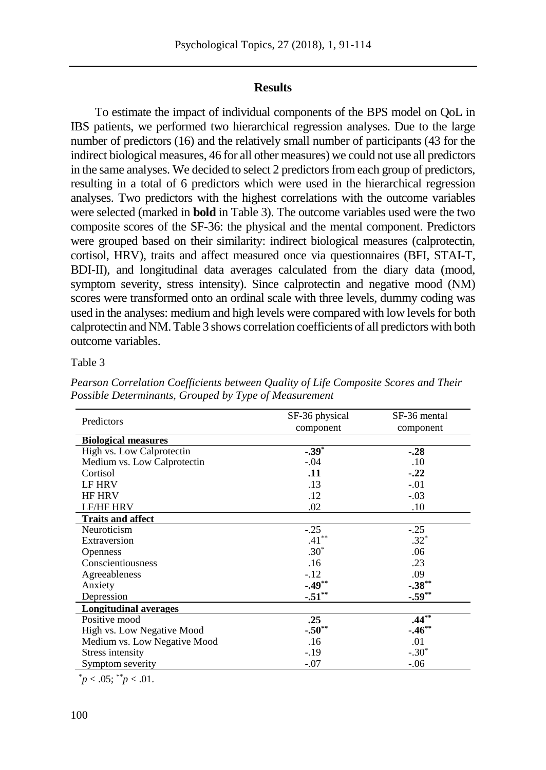# **Results**

To estimate the impact of individual components of the BPS model on QoL in IBS patients, we performed two hierarchical regression analyses. Due to the large number of predictors (16) and the relatively small number of participants (43 for the indirect biological measures, 46 for all other measures) we could not use all predictors in the same analyses. We decided to select 2 predictors from each group of predictors, resulting in a total of 6 predictors which were used in the hierarchical regression analyses. Two predictors with the highest correlations with the outcome variables were selected (marked in **bold** in Table 3). The outcome variables used were the two composite scores of the SF-36: the physical and the mental component. Predictors were grouped based on their similarity: indirect biological measures (calprotectin, cortisol, HRV), traits and affect measured once via questionnaires (BFI, STAI-T, BDI-II), and longitudinal data averages calculated from the diary data (mood, symptom severity, stress intensity). Since calprotectin and negative mood (NM) scores were transformed onto an ordinal scale with three levels, dummy coding was used in the analyses: medium and high levels were compared with low levels for both calprotectin and NM. Table 3 shows correlation coefficients of all predictors with both outcome variables.

#### Table 3

|                              | SF-36 physical | SF-36 mental |  |
|------------------------------|----------------|--------------|--|
| Predictors                   | component      | component    |  |
| <b>Biological measures</b>   |                |              |  |
| High vs. Low Calprotectin    | $-.39*$        | $-.28$       |  |
| Medium vs. Low Calprotectin  | $-.04$         | .10          |  |
| Cortisol                     | .11            | $-.22$       |  |
| LF HRV                       | .13            | $-.01$       |  |
| <b>HF HRV</b>                | .12            | $-.03$       |  |
| <b>LF/HF HRV</b>             | .02            | .10          |  |
| <b>Traits and affect</b>     |                |              |  |
| Neuroticism                  | $-.25$         | $-.25$       |  |
| Extraversion                 | $.41***$       | $.32*$       |  |
| <b>Openness</b>              | $.30*$         | .06          |  |
| Conscientiousness            | .16            | .23          |  |
| Agreeableness                | $-.12$         | .09          |  |
| Anxiety                      | $-.49**$       | $-.38***$    |  |
| Depression                   | $-.51***$      | $-.59**$     |  |
| <b>Longitudinal averages</b> |                |              |  |
| Positive mood                | .25            | $.44**$      |  |
| High vs. Low Negative Mood   | $-.50**$       | $-.46***$    |  |
| Medium vs. Low Negative Mood | .16            | .01          |  |
| Stress intensity             | $-.19$         | $-.30*$      |  |
| Symptom severity             | $-.07$         | $-.06$       |  |

*Pearson Correlation Coefficients between Quality of Life Composite Scores and Their Possible Determinants, Grouped by Type of Measurement*

 $p < .05$ ;  $p < .01$ .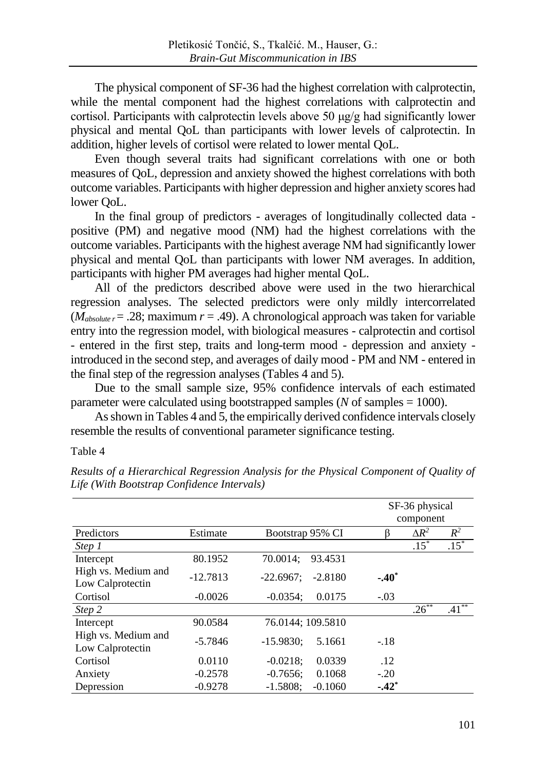The physical component of SF-36 had the highest correlation with calprotectin, while the mental component had the highest correlations with calprotectin and cortisol. Participants with calprotectin levels above 50 μg/g had significantly lower physical and mental QoL than participants with lower levels of calprotectin. In addition, higher levels of cortisol were related to lower mental QoL.

Even though several traits had significant correlations with one or both measures of QoL, depression and anxiety showed the highest correlations with both outcome variables. Participants with higher depression and higher anxiety scores had lower QoL.

In the final group of predictors - averages of longitudinally collected data positive (PM) and negative mood (NM) had the highest correlations with the outcome variables. Participants with the highest average NM had significantly lower physical and mental QoL than participants with lower NM averages. In addition, participants with higher PM averages had higher mental QoL.

All of the predictors described above were used in the two hierarchical regression analyses. The selected predictors were only mildly intercorrelated  $(M_{absolute} = .28;$  maximum  $r = .49$ ). A chronological approach was taken for variable entry into the regression model, with biological measures - calprotectin and cortisol - entered in the first step, traits and long-term mood - depression and anxiety introduced in the second step, and averages of daily mood - PM and NM - entered in the final step of the regression analyses (Tables 4 and 5).

Due to the small sample size, 95% confidence intervals of each estimated parameter were calculated using bootstrapped samples (*N* of samples = 1000).

As shown in Tables 4 and 5, the empirically derived confidence intervals closely resemble the results of conventional parameter significance testing.

#### Table 4

|                                         |            |                          | SF-36 physical<br>component |              |          |
|-----------------------------------------|------------|--------------------------|-----------------------------|--------------|----------|
| Predictors                              | Estimate   | Bootstrap 95% CI         |                             | $\Delta R^2$ | $R^2$    |
| Step 1                                  |            |                          |                             | $.15*$       | $.15*$   |
| Intercept                               | 80.1952    | 70.0014:<br>93.4531      |                             |              |          |
| High vs. Medium and<br>Low Calprotectin | $-12.7813$ | $-22.6967:$<br>$-2.8180$ | $-.40*$                     |              |          |
| Cortisol                                | $-0.0026$  | $-0.0354$ :<br>0.0175    | $-.03$                      |              |          |
| Step 2                                  |            |                          |                             | $.26***$     | $.41***$ |
| Intercept                               | 90.0584    | 76.0144; 109.5810        |                             |              |          |
| High vs. Medium and<br>Low Calprotectin | $-5.7846$  | $-15.9830:$<br>5.1661    | $-.18$                      |              |          |
| Cortisol                                | 0.0110     | 0.0339<br>$-0.0218$ ;    | .12                         |              |          |
| Anxiety                                 | $-0.2578$  | 0.1068<br>$-0.7656$ :    | $-.20$                      |              |          |
| Depression                              | $-0.9278$  | $-1.5808:$<br>$-0.1060$  | $-.42*$                     |              |          |

*Results of a Hierarchical Regression Analysis for the Physical Component of Quality of Life (With Bootstrap Confidence Intervals)*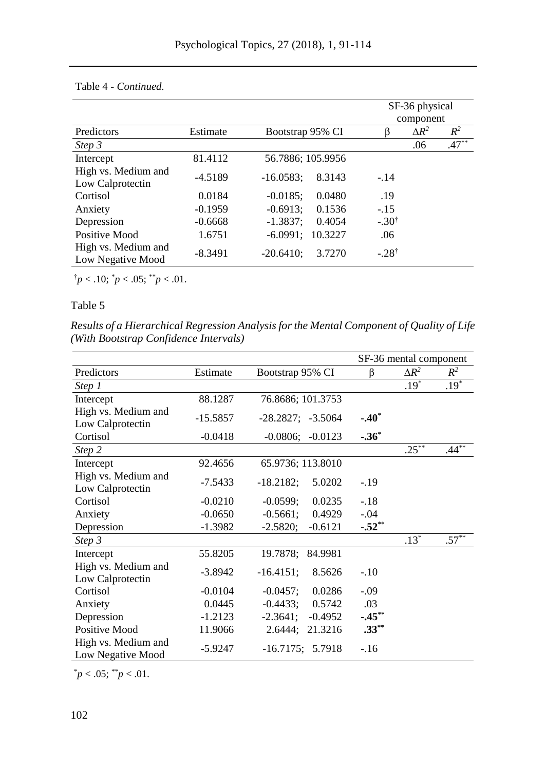|                                          |           |                        | SF-36 physical<br>component |              |         |
|------------------------------------------|-----------|------------------------|-----------------------------|--------------|---------|
| Predictors                               | Estimate  | Bootstrap 95% CI       | ß                           | $\Delta R^2$ | $R^2$   |
| Step 3                                   |           |                        |                             | .06          | $.47**$ |
| Intercept                                | 81.4112   | 56.7886; 105.9956      |                             |              |         |
| High vs. Medium and<br>Low Calprotectin  | $-4.5189$ | $-16.0583$ :<br>8.3143 | $-.14$                      |              |         |
| Cortisol                                 | 0.0184    | $-0.0185$ :<br>0.0480  | .19                         |              |         |
| Anxiety                                  | $-0.1959$ | $-0.6913$ :<br>0.1536  | $-.15$                      |              |         |
| Depression                               | $-0.6668$ | $-1.3837$ ;<br>0.4054  | $-.30^{\dagger}$            |              |         |
| Positive Mood                            | 1.6751    | $-6.0991$ :<br>10.3227 | .06                         |              |         |
| High vs. Medium and<br>Low Negative Mood | $-8.3491$ | $-20.6410:$<br>3.7270  | $-.28^{\dagger}$            |              |         |

Table 4 *- Continued.*

 $\phi$  < .10;  $\phi$  < .05;  $\phi$  < .01.

# Table 5

*Results of a Hierarchical Regression Analysis for the Mental Component of Quality of Life (With Bootstrap Confidence Intervals)*

|                                          |            |                          | SF-36 mental component |              |                     |
|------------------------------------------|------------|--------------------------|------------------------|--------------|---------------------|
| Predictors                               | Estimate   | Bootstrap 95% CI         | ß                      | $\Delta R^2$ | $R^2$               |
| Step 1                                   |            |                          |                        | $.19*$       | $.19^{*}$           |
| Intercept                                | 88.1287    | 76.8686; 101.3753        |                        |              |                     |
| High vs. Medium and<br>Low Calprotectin  | $-15.5857$ | $-28.2827$ ; $-3.5064$   | $-.40*$                |              |                     |
| Cortisol                                 | $-0.0418$  | $-0.0806$ ;<br>$-0.0123$ | $-.36*$                |              |                     |
| Step 2                                   |            |                          |                        | $.25***$     | $.44$ <sup>**</sup> |
| Intercept                                | 92.4656    | 65.9736; 113.8010        |                        |              |                     |
| High vs. Medium and<br>Low Calprotectin  | $-7.5433$  | $-18.2182;$<br>5.0202    | $-.19$                 |              |                     |
| Cortisol                                 | $-0.0210$  | $-0.0599$ ;<br>0.0235    | $-.18$                 |              |                     |
| Anxiety                                  | $-0.0650$  | $-0.5661$ ;<br>0.4929    | $-.04$                 |              |                     |
| Depression                               | -1.3982    | $-2.5820;$<br>$-0.6121$  | $-.52**$               |              |                     |
| Step 3                                   |            |                          |                        | $.13^*$      | $.57^{**}$          |
| Intercept                                | 55.8205    | 19.7878;<br>84.9981      |                        |              |                     |
| High vs. Medium and<br>Low Calprotectin  | $-3.8942$  | $-16.4151$ :<br>8.5626   | $-.10$                 |              |                     |
| Cortisol                                 | $-0.0104$  | $-0.0457$ ;<br>0.0286    | $-0.09$                |              |                     |
| Anxiety                                  | 0.0445     | $-0.4433;$<br>0.5742     | .03                    |              |                     |
| Depression                               | $-1.2123$  | $-2.3641;$<br>$-0.4952$  | $-.45***$              |              |                     |
| Positive Mood                            | 11.9066    | 2.6444; 21.3216          | $.33***$               |              |                     |
| High vs. Medium and<br>Low Negative Mood | $-5.9247$  | $-16.7175$ ; 5.7918      | $-.16$                 |              |                     |

 $^{*}p < .05$ ;  $^{**}p < .01$ .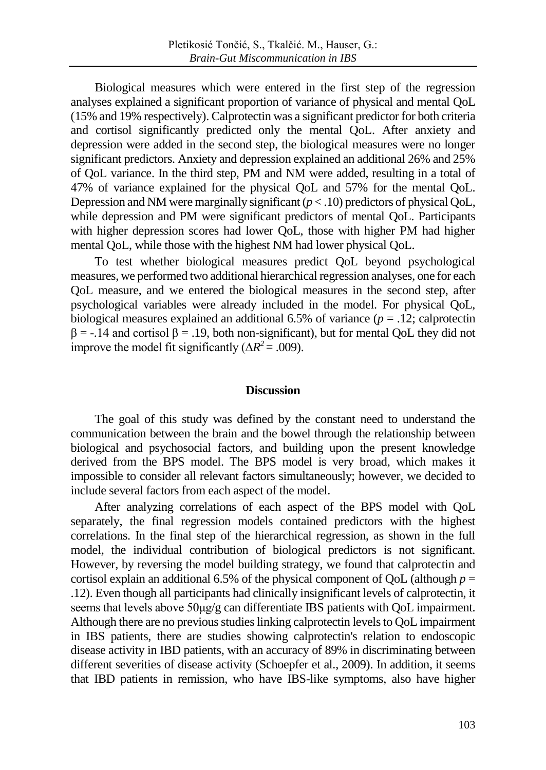Biological measures which were entered in the first step of the regression analyses explained a significant proportion of variance of physical and mental QoL (15% and 19% respectively). Calprotectin was a significant predictor for both criteria and cortisol significantly predicted only the mental QoL. After anxiety and depression were added in the second step, the biological measures were no longer significant predictors. Anxiety and depression explained an additional 26% and 25% of QoL variance. In the third step, PM and NM were added, resulting in a total of 47% of variance explained for the physical QoL and 57% for the mental QoL. Depression and NM were marginally significant (*p* < .10) predictors of physical QoL, while depression and PM were significant predictors of mental OoL. Participants with higher depression scores had lower QoL, those with higher PM had higher mental QoL, while those with the highest NM had lower physical QoL.

To test whether biological measures predict QoL beyond psychological measures, we performed two additional hierarchical regression analyses, one for each QoL measure, and we entered the biological measures in the second step, after psychological variables were already included in the model. For physical QoL, biological measures explained an additional 6.5% of variance  $(p = .12)$ ; calprotecting  $\beta = -14$  and cortisol  $\beta = 0.19$ , both non-significant), but for mental QoL they did not improve the model fit significantly ( $\Delta R^2$  = .009).

# **Discussion**

The goal of this study was defined by the constant need to understand the communication between the brain and the bowel through the relationship between biological and psychosocial factors, and building upon the present knowledge derived from the BPS model. The BPS model is very broad, which makes it impossible to consider all relevant factors simultaneously; however, we decided to include several factors from each aspect of the model.

After analyzing correlations of each aspect of the BPS model with QoL separately, the final regression models contained predictors with the highest correlations. In the final step of the hierarchical regression, as shown in the full model, the individual contribution of biological predictors is not significant. However, by reversing the model building strategy, we found that calprotectin and cortisol explain an additional 6.5% of the physical component of QoL (although  $p =$ .12). Even though all participants had clinically insignificant levels of calprotectin, it seems that levels above 50μg/g can differentiate IBS patients with QoL impairment. Although there are no previous studies linking calprotectin levels to QoL impairment in IBS patients, there are studies showing calprotectin's relation to endoscopic disease activity in IBD patients, with an accuracy of 89% in discriminating between different severities of disease activity (Schoepfer et al., 2009). In addition, it seems that IBD patients in remission, who have IBS-like symptoms, also have higher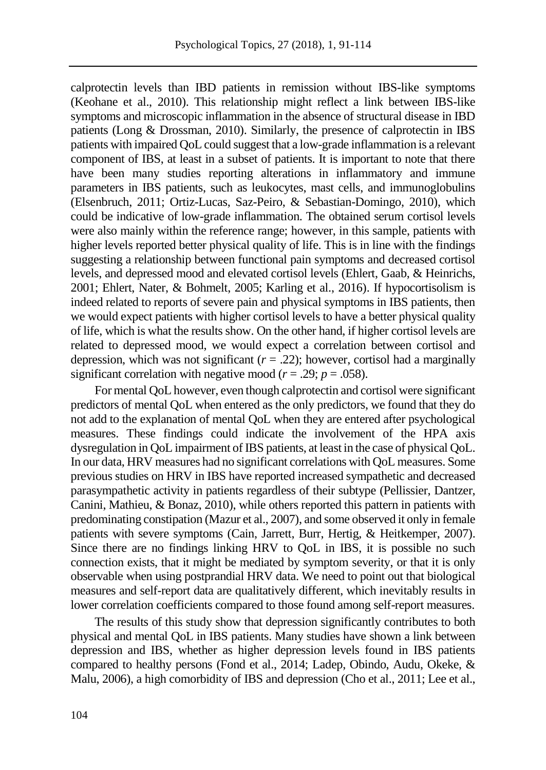calprotectin levels than IBD patients in remission without IBS-like symptoms (Keohane et al., 2010). This relationship might reflect a link between IBS-like symptoms and microscopic inflammation in the absence of structural disease in IBD patients (Long & Drossman, 2010). Similarly, the presence of calprotectin in IBS patients with impaired QoL could suggest that a low-grade inflammation is a relevant component of IBS, at least in a subset of patients. It is important to note that there have been many studies reporting alterations in inflammatory and immune parameters in IBS patients, such as leukocytes, mast cells, and immunoglobulins (Elsenbruch, 2011; Ortiz-Lucas, Saz-Peiro, & Sebastian-Domingo, 2010), which could be indicative of low-grade inflammation. The obtained serum cortisol levels were also mainly within the reference range; however, in this sample, patients with higher levels reported better physical quality of life. This is in line with the findings suggesting a relationship between functional pain symptoms and decreased cortisol levels, and depressed mood and elevated cortisol levels (Ehlert, Gaab, & Heinrichs, 2001; Ehlert, Nater, & Bohmelt, 2005; Karling et al., 2016). If hypocortisolism is indeed related to reports of severe pain and physical symptoms in IBS patients, then we would expect patients with higher cortisol levels to have a better physical quality of life, which is what the results show. On the other hand, if higher cortisol levels are related to depressed mood, we would expect a correlation between cortisol and depression, which was not significant  $(r = .22)$ ; however, cortisol had a marginally significant correlation with negative mood ( $r = .29$ ;  $p = .058$ ).

For mental QoL however, even though calprotectin and cortisol were significant predictors of mental QoL when entered as the only predictors, we found that they do not add to the explanation of mental QoL when they are entered after psychological measures. These findings could indicate the involvement of the HPA axis dysregulation in QoL impairment of IBS patients, at least in the case of physical QoL. In our data, HRV measures had no significant correlations with QoL measures. Some previous studies on HRV in IBS have reported increased sympathetic and decreased parasympathetic activity in patients regardless of their subtype (Pellissier, Dantzer, Canini, Mathieu, & Bonaz, 2010), while others reported this pattern in patients with predominating constipation (Mazur et al., 2007), and some observed it only in female patients with severe symptoms (Cain, Jarrett, Burr, Hertig, & Heitkemper, 2007). Since there are no findings linking HRV to QoL in IBS, it is possible no such connection exists, that it might be mediated by symptom severity, or that it is only observable when using postprandial HRV data. We need to point out that biological measures and self-report data are qualitatively different, which inevitably results in lower correlation coefficients compared to those found among self-report measures.

The results of this study show that depression significantly contributes to both physical and mental QoL in IBS patients. Many studies have shown a link between depression and IBS, whether as higher depression levels found in IBS patients compared to healthy persons (Fond et al., 2014; Ladep, Obindo, Audu, Okeke, & Malu, 2006), a high comorbidity of IBS and depression (Cho et al., 2011; Lee et al.,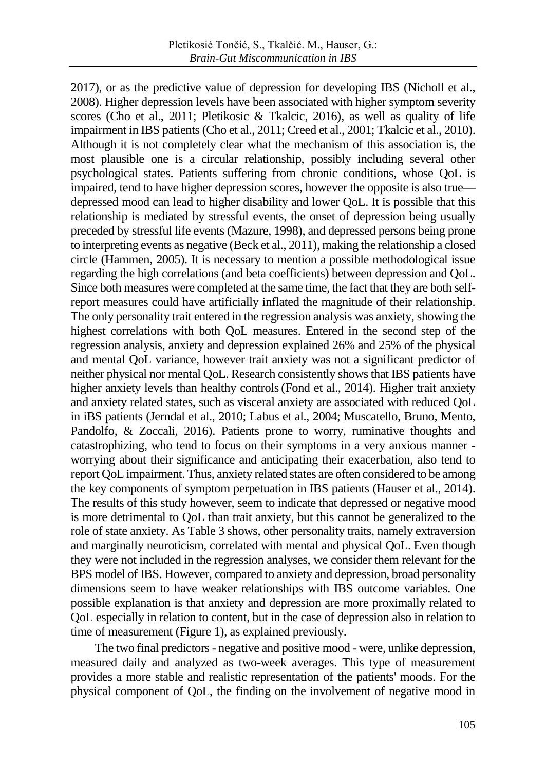2017), or as the predictive value of depression for developing IBS (Nicholl et al., 2008). Higher depression levels have been associated with higher symptom severity scores (Cho et al., 2011; Pletikosic & Tkalcic, 2016), as well as quality of life impairment in IBS patients (Cho et al., 2011; Creed et al., 2001; Tkalcic et al., 2010). Although it is not completely clear what the mechanism of this association is, the most plausible one is a circular relationship, possibly including several other psychological states. Patients suffering from chronic conditions, whose QoL is impaired, tend to have higher depression scores, however the opposite is also true depressed mood can lead to higher disability and lower QoL. It is possible that this relationship is mediated by stressful events, the onset of depression being usually preceded by stressful life events (Mazure, 1998), and depressed persons being prone to interpreting events as negative (Beck et al., 2011), making the relationship a closed circle (Hammen, 2005). It is necessary to mention a possible methodological issue regarding the high correlations (and beta coefficients) between depression and QoL. Since both measures were completed at the same time, the fact that they are both selfreport measures could have artificially inflated the magnitude of their relationship. The only personality trait entered in the regression analysis was anxiety, showing the highest correlations with both QoL measures. Entered in the second step of the regression analysis, anxiety and depression explained 26% and 25% of the physical and mental QoL variance, however trait anxiety was not a significant predictor of neither physical nor mental QoL. Research consistently shows that IBS patients have higher anxiety levels than healthy controls(Fond et al., 2014). Higher trait anxiety and anxiety related states, such as visceral anxiety are associated with reduced QoL in iBS patients (Jerndal et al., 2010; Labus et al., 2004; Muscatello, Bruno, Mento, Pandolfo, & Zoccali, 2016). Patients prone to worry, ruminative thoughts and catastrophizing, who tend to focus on their symptoms in a very anxious manner worrying about their significance and anticipating their exacerbation, also tend to report QoL impairment. Thus, anxiety related states are often considered to be among the key components of symptom perpetuation in IBS patients (Hauser et al., 2014). The results of this study however, seem to indicate that depressed or negative mood is more detrimental to QoL than trait anxiety, but this cannot be generalized to the role of state anxiety. As Table 3 shows, other personality traits, namely extraversion and marginally neuroticism, correlated with mental and physical QoL. Even though they were not included in the regression analyses, we consider them relevant for the BPS model of IBS. However, compared to anxiety and depression, broad personality dimensions seem to have weaker relationships with IBS outcome variables. One possible explanation is that anxiety and depression are more proximally related to QoL especially in relation to content, but in the case of depression also in relation to time of measurement (Figure 1), as explained previously.

The two final predictors- negative and positive mood - were, unlike depression, measured daily and analyzed as two-week averages. This type of measurement provides a more stable and realistic representation of the patients' moods. For the physical component of QoL, the finding on the involvement of negative mood in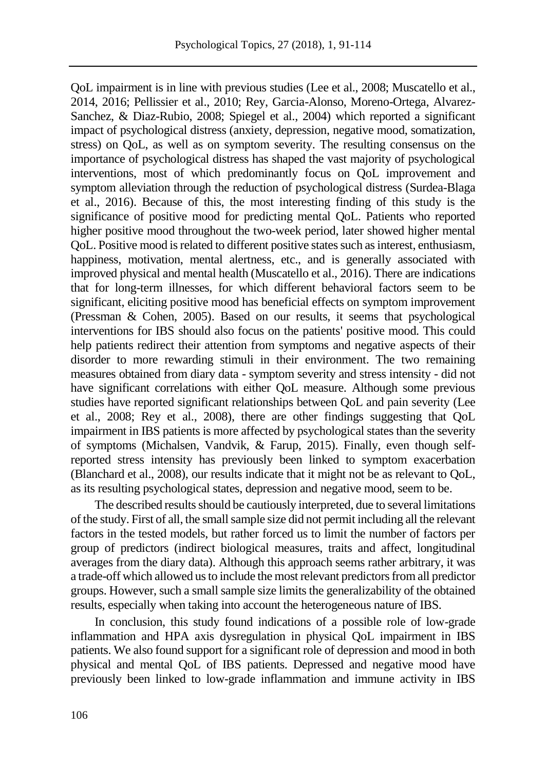QoL impairment is in line with previous studies (Lee et al., 2008; Muscatello et al., 2014, 2016; Pellissier et al., 2010; Rey, Garcia-Alonso, Moreno-Ortega, Alvarez-Sanchez, & Diaz-Rubio, 2008; Spiegel et al., 2004) which reported a significant impact of psychological distress (anxiety, depression, negative mood, somatization, stress) on QoL, as well as on symptom severity. The resulting consensus on the importance of psychological distress has shaped the vast majority of psychological interventions, most of which predominantly focus on QoL improvement and symptom alleviation through the reduction of psychological distress (Surdea-Blaga et al., 2016). Because of this, the most interesting finding of this study is the significance of positive mood for predicting mental QoL. Patients who reported higher positive mood throughout the two-week period, later showed higher mental QoL. Positive mood is related to different positive states such as interest, enthusiasm, happiness, motivation, mental alertness, etc., and is generally associated with improved physical and mental health (Muscatello et al., 2016). There are indications that for long-term illnesses, for which different behavioral factors seem to be significant, eliciting positive mood has beneficial effects on symptom improvement (Pressman & Cohen, 2005). Based on our results, it seems that psychological interventions for IBS should also focus on the patients' positive mood. This could help patients redirect their attention from symptoms and negative aspects of their disorder to more rewarding stimuli in their environment. The two remaining measures obtained from diary data - symptom severity and stress intensity - did not have significant correlations with either QoL measure. Although some previous studies have reported significant relationships between QoL and pain severity (Lee et al., 2008; Rey et al., 2008), there are other findings suggesting that QoL impairment in IBS patients is more affected by psychological states than the severity of symptoms (Michalsen, Vandvik, & Farup, 2015). Finally, even though selfreported stress intensity has previously been linked to symptom exacerbation (Blanchard et al., 2008), our results indicate that it might not be as relevant to QoL, as its resulting psychological states, depression and negative mood, seem to be.

The described results should be cautiously interpreted, due to several limitations of the study. First of all, the small sample size did not permit including all the relevant factors in the tested models, but rather forced us to limit the number of factors per group of predictors (indirect biological measures, traits and affect, longitudinal averages from the diary data). Although this approach seems rather arbitrary, it was a trade-off which allowed us to include the most relevant predictors from all predictor groups. However, such a small sample size limits the generalizability of the obtained results, especially when taking into account the heterogeneous nature of IBS.

In conclusion, this study found indications of a possible role of low-grade inflammation and HPA axis dysregulation in physical QoL impairment in IBS patients. We also found support for a significant role of depression and mood in both physical and mental QoL of IBS patients. Depressed and negative mood have previously been linked to low-grade inflammation and immune activity in IBS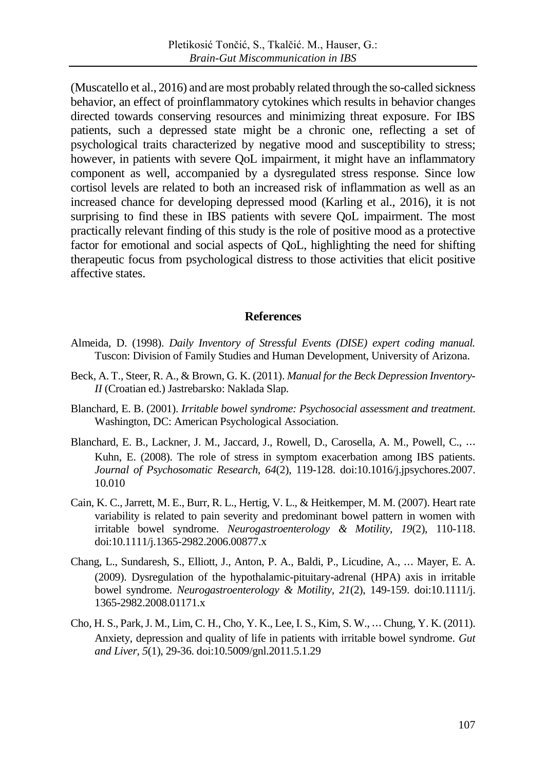(Muscatello et al., 2016) and are most probably related through the so-called sickness behavior, an effect of proinflammatory cytokines which results in behavior changes directed towards conserving resources and minimizing threat exposure. For IBS patients, such a depressed state might be a chronic one, reflecting a set of psychological traits characterized by negative mood and susceptibility to stress; however, in patients with severe QoL impairment, it might have an inflammatory component as well, accompanied by a dysregulated stress response. Since low cortisol levels are related to both an increased risk of inflammation as well as an increased chance for developing depressed mood (Karling et al., 2016), it is not surprising to find these in IBS patients with severe QoL impairment. The most practically relevant finding of this study is the role of positive mood as a protective factor for emotional and social aspects of QoL, highlighting the need for shifting therapeutic focus from psychological distress to those activities that elicit positive affective states.

# **References**

- Almeida, D. (1998). *Daily Inventory of Stressful Events (DISE) expert coding manual.*  Tuscon: Division of Family Studies and Human Development, University of Arizona.
- Beck, A. T., Steer, R. A., & Brown, G. K. (2011). *Manual for the Beck Depression Inventory-II* (Croatian ed.) Jastrebarsko: Naklada Slap.
- Blanchard, E. B. (2001). *Irritable bowel syndrome: Psychosocial assessment and treatment*. Washington, DC: American Psychological Association.
- Blanchard, E. B., Lackner, J. M., Jaccard, J., Rowell, D., Carosella, A. M., Powell, C., ⋯ Kuhn, E. (2008). The role of stress in symptom exacerbation among IBS patients. *Journal of Psychosomatic Research, 64*(2), 119-128. doi:10.1016/j.jpsychores.2007. 10.010
- Cain, K. C., Jarrett, M. E., Burr, R. L., Hertig, V. L., & Heitkemper, M. M. (2007). Heart rate variability is related to pain severity and predominant bowel pattern in women with irritable bowel syndrome. *Neurogastroenterology & Motility, 19*(2), 110-118. doi:10.1111/j.1365-2982.2006.00877.x
- Chang, L., Sundaresh, S., Elliott, J., Anton, P. A., Baldi, P., Licudine, A., ⋯ Mayer, E. A. (2009). Dysregulation of the hypothalamic-pituitary-adrenal (HPA) axis in irritable bowel syndrome. *Neurogastroenterology & Motility, 21*(2), 149-159. doi:10.1111/j. 1365-2982.2008.01171.x
- Cho, H. S., Park, J. M., Lim, C. H., Cho, Y. K., Lee, I. S., Kim, S. W., ⋯ Chung, Y. K. (2011). Anxiety, depression and quality of life in patients with irritable bowel syndrome. *Gut and Liver, 5*(1), 29-36. doi:10.5009/gnl.2011.5.1.29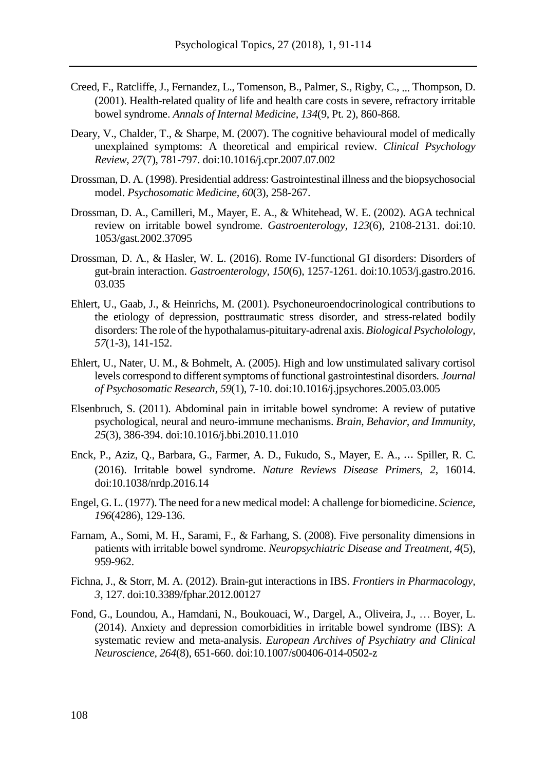- Creed, F., Ratcliffe, J., Fernandez, L., Tomenson, B., Palmer, S., Rigby, C., ... Thompson, D. (2001). Health-related quality of life and health care costs in severe, refractory irritable bowel syndrome. *Annals of Internal Medicine, 134*(9, Pt. 2), 860-868.
- Deary, V., Chalder, T., & Sharpe, M. (2007). The cognitive behavioural model of medically unexplained symptoms: A theoretical and empirical review. *Clinical Psychology Review, 27*(7), 781-797. doi:10.1016/j.cpr.2007.07.002
- Drossman, D. A. (1998). Presidential address: Gastrointestinal illness and the biopsychosocial model. *Psychosomatic Medicine, 60*(3), 258-267.
- Drossman, D. A., Camilleri, M., Mayer, E. A., & Whitehead, W. E. (2002). AGA technical review on irritable bowel syndrome. *Gastroenterology, 123*(6), 2108-2131. doi:10. 1053/gast.2002.37095
- Drossman, D. A., & Hasler, W. L. (2016). Rome IV-functional GI disorders: Disorders of gut-brain interaction. *Gastroenterology, 150*(6), 1257-1261. doi:10.1053/j.gastro.2016. 03.035
- Ehlert, U., Gaab, J., & Heinrichs, M. (2001). Psychoneuroendocrinological contributions to the etiology of depression, posttraumatic stress disorder, and stress-related bodily disorders: The role of the hypothalamus-pituitary-adrenal axis. *Biological Psycholology, 57*(1-3), 141-152.
- Ehlert, U., Nater, U. M., & Bohmelt, A. (2005). High and low unstimulated salivary cortisol levels correspond to different symptoms of functional gastrointestinal disorders. *Journal of Psychosomatic Research, 59*(1), 7-10. doi:10.1016/j.jpsychores.2005.03.005
- Elsenbruch, S. (2011). Abdominal pain in irritable bowel syndrome: A review of putative psychological, neural and neuro-immune mechanisms. *Brain, Behavior, and Immunity, 25*(3), 386-394. doi:10.1016/j.bbi.2010.11.010
- Enck, P., Aziz, Q., Barbara, G., Farmer, A. D., Fukudo, S., Mayer, E. A., ⋯ Spiller, R. C. (2016). Irritable bowel syndrome. *Nature Reviews Disease Primers, 2*, 16014. doi:10.1038/nrdp.2016.14
- Engel, G. L. (1977). The need for a new medical model: A challenge for biomedicine. *Science, 196*(4286), 129-136.
- Farnam, A., Somi, M. H., Sarami, F., & Farhang, S. (2008). Five personality dimensions in patients with irritable bowel syndrome. *Neuropsychiatric Disease and Treatment, 4*(5), 959-962.
- Fichna, J., & Storr, M. A. (2012). Brain-gut interactions in IBS. *Frontiers in Pharmacology, 3*, 127. doi:10.3389/fphar.2012.00127
- Fond, G., Loundou, A., Hamdani, N., Boukouaci, W., Dargel, A., Oliveira, J., … Boyer, L. (2014). Anxiety and depression comorbidities in irritable bowel syndrome (IBS): A systematic review and meta-analysis. *European Archives of Psychiatry and Clinical Neuroscience, 264*(8), 651-660. doi:10.1007/s00406-014-0502-z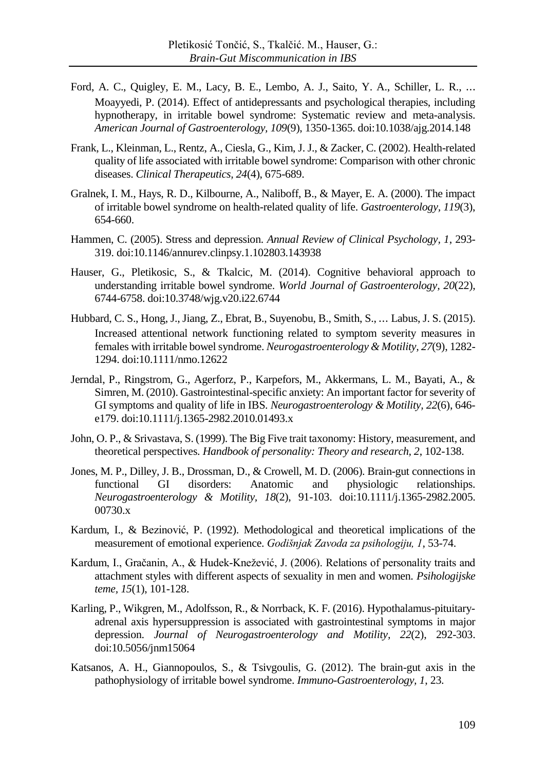- Ford, A. C., Quigley, E. M., Lacy, B. E., Lembo, A. J., Saito, Y. A., Schiller, L. R., ⋯ Moayyedi, P. (2014). Effect of antidepressants and psychological therapies, including hypnotherapy, in irritable bowel syndrome: Systematic review and meta-analysis. *American Journal of Gastroenterology, 109*(9), 1350-1365. doi:10.1038/ajg.2014.148
- Frank, L., Kleinman, L., Rentz, A., Ciesla, G., Kim, J. J., & Zacker, C. (2002). Health-related quality of life associated with irritable bowel syndrome: Comparison with other chronic diseases. *Clinical Therapeutics, 24*(4), 675-689.
- Gralnek, I. M., Hays, R. D., Kilbourne, A., Naliboff, B., & Mayer, E. A. (2000). The impact of irritable bowel syndrome on health-related quality of life. *Gastroenterology, 119*(3), 654-660.
- Hammen, C. (2005). Stress and depression. *Annual Review of Clinical Psychology, 1*, 293- 319. doi:10.1146/annurev.clinpsy.1.102803.143938
- Hauser, G., Pletikosic, S., & Tkalcic, M. (2014). Cognitive behavioral approach to understanding irritable bowel syndrome. *World Journal of Gastroenterology, 20*(22), 6744-6758. doi:10.3748/wjg.v20.i22.6744
- Hubbard, C. S., Hong, J., Jiang, Z., Ebrat, B., Suyenobu, B., Smith, S., ⋯ Labus, J. S. (2015). Increased attentional network functioning related to symptom severity measures in females with irritable bowel syndrome. *Neurogastroenterology & Motility, 27*(9), 1282- 1294. doi:10.1111/nmo.12622
- Jerndal, P., Ringstrom, G., Agerforz, P., Karpefors, M., Akkermans, L. M., Bayati, A., & Simren, M. (2010). Gastrointestinal-specific anxiety: An important factor for severity of GI symptoms and quality of life in IBS. *Neurogastroenterology & Motility, 22*(6), 646 e179. doi:10.1111/j.1365-2982.2010.01493.x
- John, O. P., & Srivastava, S. (1999). The Big Five trait taxonomy: History, measurement, and theoretical perspectives. *Handbook of personality: Theory and research, 2*, 102-138.
- Jones, M. P., Dilley, J. B., Drossman, D., & Crowell, M. D. (2006). Brain-gut connections in functional GI disorders: Anatomic and physiologic relationships. *Neurogastroenterology & Motility, 18*(2), 91-103. doi:10.1111/j.1365-2982.2005. 00730.x
- Kardum, I., & Bezinović, P. (1992). Methodological and theoretical implications of the measurement of emotional experience. *Godišnjak Zavoda za psihologiju, 1*, 53-74.
- Kardum, I., Gračanin, A., & Hudek-Knežević, J. (2006). Relations of personality traits and attachment styles with different aspects of sexuality in men and women. *Psihologijske teme, 15*(1), 101-128.
- Karling, P., Wikgren, M., Adolfsson, R., & Norrback, K. F. (2016). Hypothalamus-pituitaryadrenal axis hypersuppression is associated with gastrointestinal symptoms in major depression. *Journal of Neurogastroenterology and Motility, 22*(2), 292-303. doi:10.5056/jnm15064
- Katsanos, A. H., Giannopoulos, S., & Tsivgoulis, G. (2012). The brain-gut axis in the pathophysiology of irritable bowel syndrome. *Immuno-Gastroenterology, 1*, 23.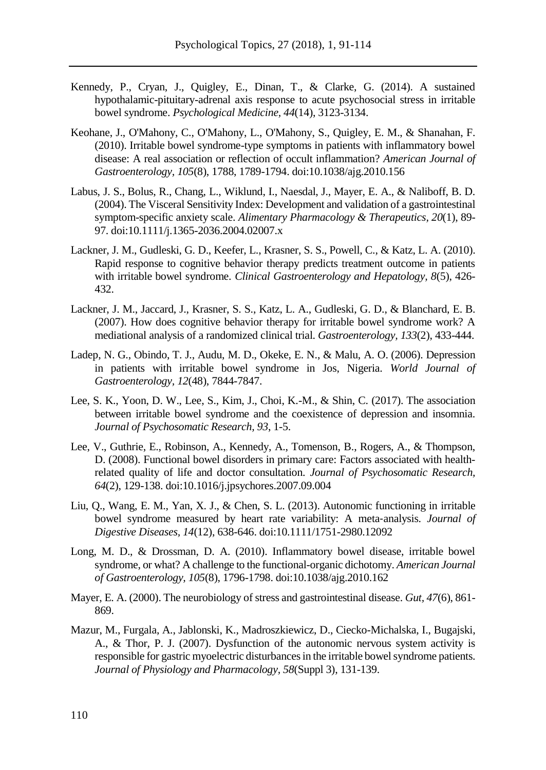- Kennedy, P., Cryan, J., Quigley, E., Dinan, T., & Clarke, G. (2014). A sustained hypothalamic-pituitary-adrenal axis response to acute psychosocial stress in irritable bowel syndrome. *Psychological Medicine, 44*(14), 3123-3134.
- Keohane, J., O'Mahony, C., O'Mahony, L., O'Mahony, S., Quigley, E. M., & Shanahan, F. (2010). Irritable bowel syndrome-type symptoms in patients with inflammatory bowel disease: A real association or reflection of occult inflammation? *American Journal of Gastroenterology, 105*(8), 1788, 1789-1794. doi:10.1038/ajg.2010.156
- Labus, J. S., Bolus, R., Chang, L., Wiklund, I., Naesdal, J., Mayer, E. A., & Naliboff, B. D. (2004). The Visceral Sensitivity Index: Development and validation of a gastrointestinal symptom-specific anxiety scale. *Alimentary Pharmacology & Therapeutics, 20*(1), 89- 97. doi:10.1111/j.1365-2036.2004.02007.x
- Lackner, J. M., Gudleski, G. D., Keefer, L., Krasner, S. S., Powell, C., & Katz, L. A. (2010). Rapid response to cognitive behavior therapy predicts treatment outcome in patients with irritable bowel syndrome. *Clinical Gastroenterology and Hepatology, 8*(5), 426- 432.
- Lackner, J. M., Jaccard, J., Krasner, S. S., Katz, L. A., Gudleski, G. D., & Blanchard, E. B. (2007). How does cognitive behavior therapy for irritable bowel syndrome work? A mediational analysis of a randomized clinical trial. *Gastroenterology, 133*(2), 433-444.
- Ladep, N. G., Obindo, T. J., Audu, M. D., Okeke, E. N., & Malu, A. O. (2006). Depression in patients with irritable bowel syndrome in Jos, Nigeria. *World Journal of Gastroenterology, 12*(48), 7844-7847.
- Lee, S. K., Yoon, D. W., Lee, S., Kim, J., Choi, K.-M., & Shin, C. (2017). The association between irritable bowel syndrome and the coexistence of depression and insomnia. *Journal of Psychosomatic Research, 93*, 1-5.
- Lee, V., Guthrie, E., Robinson, A., Kennedy, A., Tomenson, B., Rogers, A., & Thompson, D. (2008). Functional bowel disorders in primary care: Factors associated with healthrelated quality of life and doctor consultation. *Journal of Psychosomatic Research, 64*(2), 129-138. doi:10.1016/j.jpsychores.2007.09.004
- Liu, Q., Wang, E. M., Yan, X. J., & Chen, S. L. (2013). Autonomic functioning in irritable bowel syndrome measured by heart rate variability: A meta‐analysis. *Journal of Digestive Diseases, 14*(12), 638-646. doi:10.1111/1751-2980.12092
- Long, M. D., & Drossman, D. A. (2010). Inflammatory bowel disease, irritable bowel syndrome, or what? A challenge to the functional-organic dichotomy. *American Journal of Gastroenterology, 105*(8), 1796-1798. doi:10.1038/ajg.2010.162
- Mayer, E. A. (2000). The neurobiology of stress and gastrointestinal disease. *Gut, 47*(6), 861- 869.
- Mazur, M., Furgala, A., Jablonski, K., Madroszkiewicz, D., Ciecko-Michalska, I., Bugajski, A., & Thor, P. J. (2007). Dysfunction of the autonomic nervous system activity is responsible for gastric myoelectric disturbances in the irritable bowel syndrome patients. *Journal of Physiology and Pharmacology, 58*(Suppl 3), 131-139.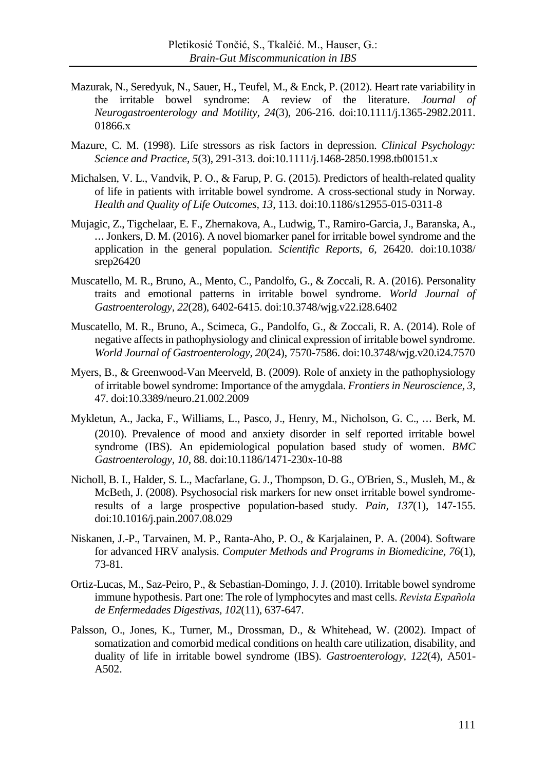- Mazurak, N., Seredyuk, N., Sauer, H., Teufel, M., & Enck, P. (2012). Heart rate variability in the irritable bowel syndrome: A review of the literature. *Journal of Neurogastroenterology and Motility, 24*(3), 206-216. doi:10.1111/j.1365-2982.2011. 01866.x
- Mazure, C. M. (1998). Life stressors as risk factors in depression. *Clinical Psychology: Science and Practice, 5*(3), 291-313. doi:10.1111/j.1468-2850.1998.tb00151.x
- Michalsen, V. L., Vandvik, P. O., & Farup, P. G. (2015). Predictors of health-related quality of life in patients with irritable bowel syndrome. A cross-sectional study in Norway. *Health and Quality of Life Outcomes, 13*, 113. doi:10.1186/s12955-015-0311-8
- Mujagic, Z., Tigchelaar, E. F., Zhernakova, A., Ludwig, T., Ramiro-Garcia, J., Baranska, A., ⋯ Jonkers, D. M. (2016). A novel biomarker panel for irritable bowel syndrome and the application in the general population. *Scientific Reports, 6*, 26420. doi:10.1038/ srep26420
- Muscatello, M. R., Bruno, A., Mento, C., Pandolfo, G., & Zoccali, R. A. (2016). Personality traits and emotional patterns in irritable bowel syndrome. *World Journal of Gastroenterology, 22*(28), 6402-6415. doi:10.3748/wjg.v22.i28.6402
- Muscatello, M. R., Bruno, A., Scimeca, G., Pandolfo, G., & Zoccali, R. A. (2014). Role of negative affects in pathophysiology and clinical expression of irritable bowel syndrome. *World Journal of Gastroenterology, 20*(24), 7570-7586. doi:10.3748/wjg.v20.i24.7570
- Myers, B., & Greenwood-Van Meerveld, B. (2009). Role of anxiety in the pathophysiology of irritable bowel syndrome: Importance of the amygdala. *Frontiers in Neuroscience, 3*, 47. doi:10.3389/neuro.21.002.2009
- Mykletun, A., Jacka, F., Williams, L., Pasco, J., Henry, M., Nicholson, G. C., ⋯ Berk, M. (2010). Prevalence of mood and anxiety disorder in self reported irritable bowel syndrome (IBS). An epidemiological population based study of women. *BMC Gastroenterology, 10*, 88. doi:10.1186/1471-230x-10-88
- Nicholl, B. I., Halder, S. L., Macfarlane, G. J., Thompson, D. G., O'Brien, S., Musleh, M., & McBeth, J. (2008). Psychosocial risk markers for new onset irritable bowel syndromeresults of a large prospective population-based study. *Pain, 137*(1), 147-155. doi:10.1016/j.pain.2007.08.029
- Niskanen, J.-P., Tarvainen, M. P., Ranta-Aho, P. O., & Karjalainen, P. A. (2004). Software for advanced HRV analysis. *Computer Methods and Programs in Biomedicine, 76*(1), 73-81.
- Ortiz-Lucas, M., Saz-Peiro, P., & Sebastian-Domingo, J. J. (2010). Irritable bowel syndrome immune hypothesis. Part one: The role of lymphocytes and mast cells. *Revista Española de Enfermedades Digestivas, 102*(11), 637-647.
- Palsson, O., Jones, K., Turner, M., Drossman, D., & Whitehead, W. (2002). Impact of somatization and comorbid medical conditions on health care utilization, disability, and duality of life in irritable bowel syndrome (IBS). *Gastroenterology, 122*(4), A501- A502.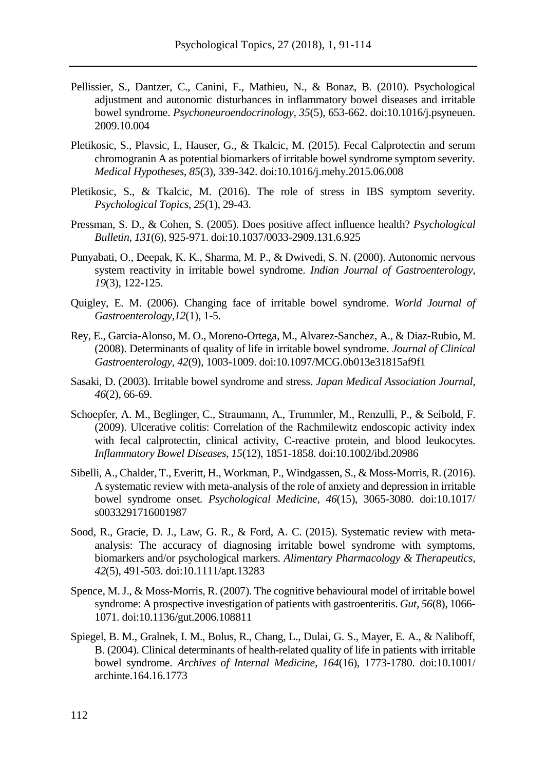- Pellissier, S., Dantzer, C., Canini, F., Mathieu, N., & Bonaz, B. (2010). Psychological adjustment and autonomic disturbances in inflammatory bowel diseases and irritable bowel syndrome. *Psychoneuroendocrinology, 35*(5), 653-662. doi:10.1016/j.psyneuen. 2009.10.004
- Pletikosic, S., Plavsic, I., Hauser, G., & Tkalcic, M. (2015). Fecal Calprotectin and serum chromogranin A as potential biomarkers of irritable bowel syndrome symptom severity. *Medical Hypotheses, 85*(3), 339-342. doi:10.1016/j.mehy.2015.06.008
- Pletikosic, S., & Tkalcic, M. (2016). The role of stress in IBS symptom severity. *Psychological Topics, 25*(1), 29-43.
- Pressman, S. D., & Cohen, S. (2005). Does positive affect influence health? *Psychological Bulletin, 131*(6), 925-971. doi:10.1037/0033-2909.131.6.925
- Punyabati, O., Deepak, K. K., Sharma, M. P., & Dwivedi, S. N. (2000). Autonomic nervous system reactivity in irritable bowel syndrome. *Indian Journal of Gastroenterology, 19*(3), 122-125.
- Quigley, E. M. (2006). Changing face of irritable bowel syndrome. *World Journal of Gastroenterology,12*(1), 1-5.
- Rey, E., Garcia-Alonso, M. O., Moreno-Ortega, M., Alvarez-Sanchez, A., & Diaz-Rubio, M. (2008). Determinants of quality of life in irritable bowel syndrome. *Journal of Clinical Gastroenterology, 42*(9), 1003-1009. doi:10.1097/MCG.0b013e31815af9f1
- Sasaki, D. (2003). Irritable bowel syndrome and stress. *Japan Medical Association Journal, 46*(2), 66-69.
- Schoepfer, A. M., Beglinger, C., Straumann, A., Trummler, M., Renzulli, P., & Seibold, F. (2009). Ulcerative colitis: Correlation of the Rachmilewitz endoscopic activity index with fecal calprotectin, clinical activity, C-reactive protein, and blood leukocytes. *Inflammatory Bowel Diseases, 15*(12), 1851-1858. doi:10.1002/ibd.20986
- Sibelli, A., Chalder, T., Everitt, H., Workman, P., Windgassen, S., & Moss-Morris, R. (2016). A systematic review with meta-analysis of the role of anxiety and depression in irritable bowel syndrome onset. *Psychological Medicine, 46*(15), 3065-3080. doi:10.1017/ s0033291716001987
- Sood, R., Gracie, D. J., Law, G. R., & Ford, A. C. (2015). Systematic review with metaanalysis: The accuracy of diagnosing irritable bowel syndrome with symptoms, biomarkers and/or psychological markers. *Alimentary Pharmacology & Therapeutics, 42*(5), 491-503. doi:10.1111/apt.13283
- Spence, M. J., & Moss-Morris, R. (2007). The cognitive behavioural model of irritable bowel syndrome: A prospective investigation of patients with gastroenteritis. *Gut, 56*(8), 1066- 1071. doi:10.1136/gut.2006.108811
- Spiegel, B. M., Gralnek, I. M., Bolus, R., Chang, L., Dulai, G. S., Mayer, E. A., & Naliboff, B. (2004). Clinical determinants of health-related quality of life in patients with irritable bowel syndrome. *Archives of Internal Medicine, 164*(16), 1773-1780. doi:10.1001/ archinte.164.16.1773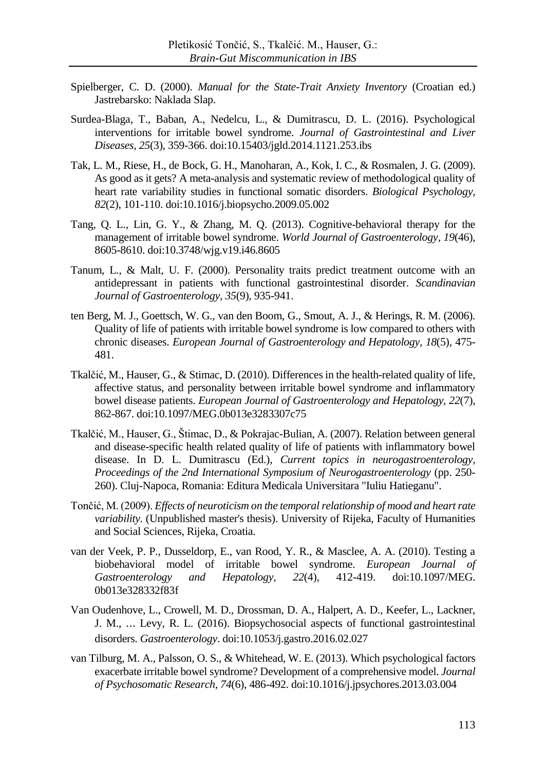- Spielberger, C. D. (2000). *Manual for the State-Trait Anxiety Inventory* (Croatian ed.) Jastrebarsko: Naklada Slap.
- Surdea-Blaga, T., Baban, A., Nedelcu, L., & Dumitrascu, D. L. (2016). Psychological interventions for irritable bowel syndrome. *Journal of Gastrointestinal and Liver Diseases, 25*(3), 359-366. doi:10.15403/jgld.2014.1121.253.ibs
- Tak, L. M., Riese, H., de Bock, G. H., Manoharan, A., Kok, I. C., & Rosmalen, J. G. (2009). As good as it gets? A meta-analysis and systematic review of methodological quality of heart rate variability studies in functional somatic disorders. *Biological Psychology, 82*(2), 101-110. doi:10.1016/j.biopsycho.2009.05.002
- Tang, Q. L., Lin, G. Y., & Zhang, M. Q. (2013). Cognitive-behavioral therapy for the management of irritable bowel syndrome. *World Journal of Gastroenterology, 19*(46), 8605-8610. doi:10.3748/wjg.v19.i46.8605
- Tanum, L., & Malt, U. F. (2000). Personality traits predict treatment outcome with an antidepressant in patients with functional gastrointestinal disorder. *Scandinavian Journal of Gastroenterology, 35*(9), 935-941.
- ten Berg, M. J., Goettsch, W. G., van den Boom, G., Smout, A. J., & Herings, R. M. (2006). Quality of life of patients with irritable bowel syndrome is low compared to others with chronic diseases. *European Journal of Gastroenterology and Hepatology, 18*(5), 475- 481.
- Tkalčić, M., Hauser, G., & Stimac, D. (2010). Differences in the health-related quality of life, affective status, and personality between irritable bowel syndrome and inflammatory bowel disease patients. *European Journal of Gastroenterology and Hepatology, 22*(7), 862-867. doi:10.1097/MEG.0b013e3283307c75
- Tkalčić, M., Hauser, G., Štimac, D., & Pokrajac-Bulian, A. (2007). Relation between general and disease-specific health related quality of life of patients with inflammatory bowel disease. In D. L. Dumitrascu (Ed.), *Current topics in neurogastroenterology, Proceedings of the 2nd International Symposium of Neurogastroenterology* (pp. 250- 260). Cluj-Napoca, Romania: Editura Medicala Universitara "Iuliu Hatieganu".
- Tončić, M. (2009). *Effects of neuroticism on the temporal relationship of mood and heart rate variability.* (Unpublished master's thesis). University of Rijeka, Faculty of Humanities and Social Sciences, Rijeka, Croatia.
- van der Veek, P. P., Dusseldorp, E., van Rood, Y. R., & Masclee, A. A. (2010). Testing a biobehavioral model of irritable bowel syndrome. *European Journal of Gastroenterology and Hepatology, 22*(4), 412-419. doi:10.1097/MEG. 0b013e328332f83f
- Van Oudenhove, L., Crowell, M. D., Drossman, D. A., Halpert, A. D., Keefer, L., Lackner, J. M., ⋯ Levy, R. L. (2016). Biopsychosocial aspects of functional gastrointestinal disorders. *Gastroenterology*. doi:10.1053/j.gastro.2016.02.027
- van Tilburg, M. A., Palsson, O. S., & Whitehead, W. E. (2013). Which psychological factors exacerbate irritable bowel syndrome? Development of a comprehensive model. *Journal of Psychosomatic Research, 74*(6), 486-492. doi:10.1016/j.jpsychores.2013.03.004